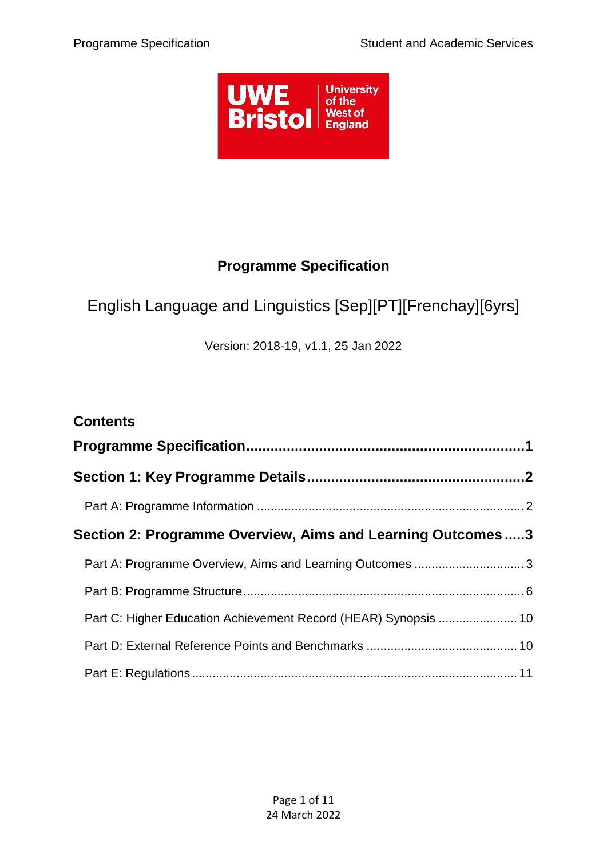

# **Programme Specification**

# <span id="page-0-0"></span>English Language and Linguistics [Sep][PT][Frenchay][6yrs]

Version: 2018-19, v1.1, 25 Jan 2022

| <b>Contents</b>                                                 |  |
|-----------------------------------------------------------------|--|
|                                                                 |  |
|                                                                 |  |
|                                                                 |  |
| Section 2: Programme Overview, Aims and Learning Outcomes3      |  |
| Part A: Programme Overview, Aims and Learning Outcomes  3       |  |
|                                                                 |  |
| Part C: Higher Education Achievement Record (HEAR) Synopsis  10 |  |
|                                                                 |  |
|                                                                 |  |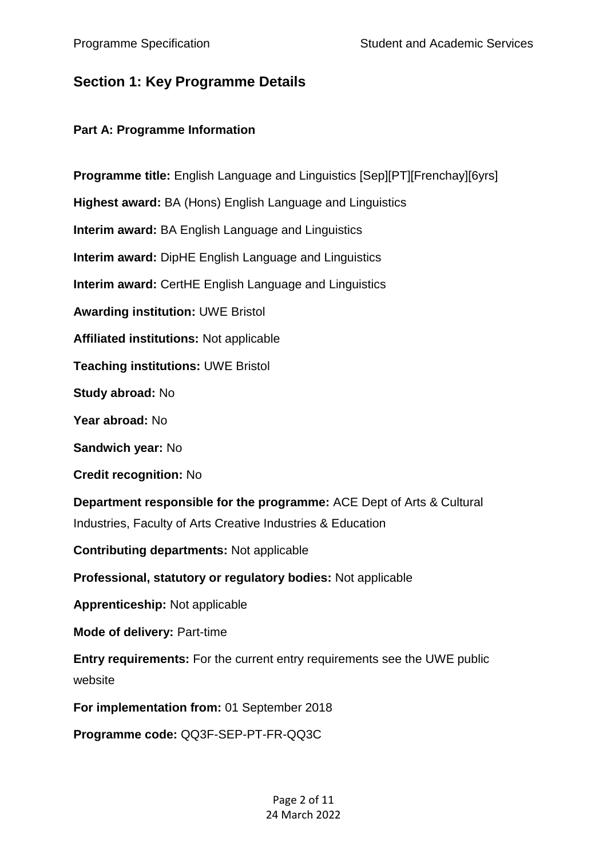# <span id="page-1-0"></span>**Section 1: Key Programme Details**

#### <span id="page-1-1"></span>**Part A: Programme Information**

**Programme title:** English Language and Linguistics [Sep][PT][Frenchay][6yrs] **Highest award:** BA (Hons) English Language and Linguistics **Interim award:** BA English Language and Linguistics **Interim award:** DipHE English Language and Linguistics **Interim award:** CertHE English Language and Linguistics **Awarding institution:** UWE Bristol **Affiliated institutions:** Not applicable **Teaching institutions:** UWE Bristol **Study abroad:** No **Year abroad:** No **Sandwich year:** No **Credit recognition:** No **Department responsible for the programme:** ACE Dept of Arts & Cultural Industries, Faculty of Arts Creative Industries & Education **Contributing departments:** Not applicable **Professional, statutory or regulatory bodies:** Not applicable **Apprenticeship:** Not applicable **Mode of delivery:** Part-time **Entry requirements:** For the current entry requirements see the UWE public website **For implementation from:** 01 September 2018 **Programme code:** QQ3F-SEP-PT-FR-QQ3C

> Page 2 of 11 24 March 2022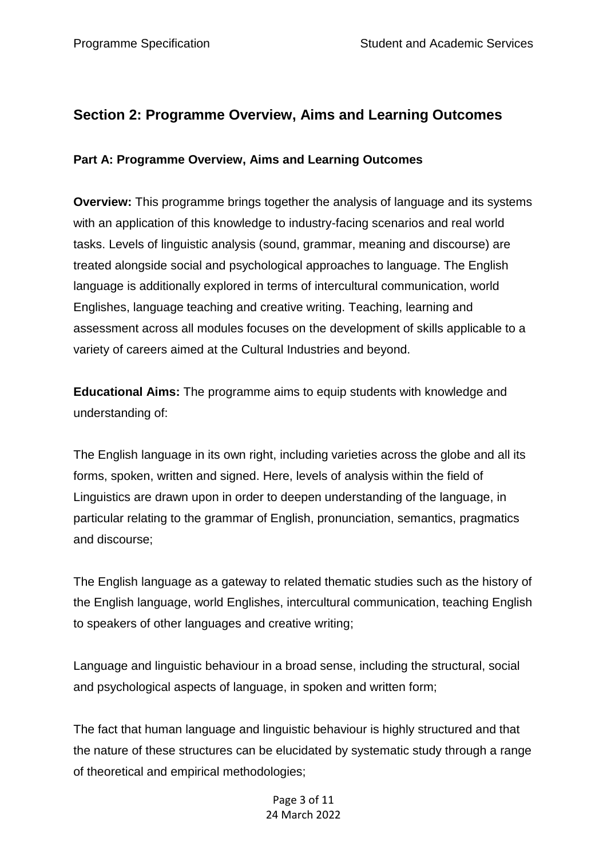# <span id="page-2-0"></span>**Section 2: Programme Overview, Aims and Learning Outcomes**

## <span id="page-2-1"></span>**Part A: Programme Overview, Aims and Learning Outcomes**

**Overview:** This programme brings together the analysis of language and its systems with an application of this knowledge to industry-facing scenarios and real world tasks. Levels of linguistic analysis (sound, grammar, meaning and discourse) are treated alongside social and psychological approaches to language. The English language is additionally explored in terms of intercultural communication, world Englishes, language teaching and creative writing. Teaching, learning and assessment across all modules focuses on the development of skills applicable to a variety of careers aimed at the Cultural Industries and beyond.

**Educational Aims:** The programme aims to equip students with knowledge and understanding of:

The English language in its own right, including varieties across the globe and all its forms, spoken, written and signed. Here, levels of analysis within the field of Linguistics are drawn upon in order to deepen understanding of the language, in particular relating to the grammar of English, pronunciation, semantics, pragmatics and discourse;

The English language as a gateway to related thematic studies such as the history of the English language, world Englishes, intercultural communication, teaching English to speakers of other languages and creative writing;

Language and linguistic behaviour in a broad sense, including the structural, social and psychological aspects of language, in spoken and written form;

The fact that human language and linguistic behaviour is highly structured and that the nature of these structures can be elucidated by systematic study through a range of theoretical and empirical methodologies;

> Page 3 of 11 24 March 2022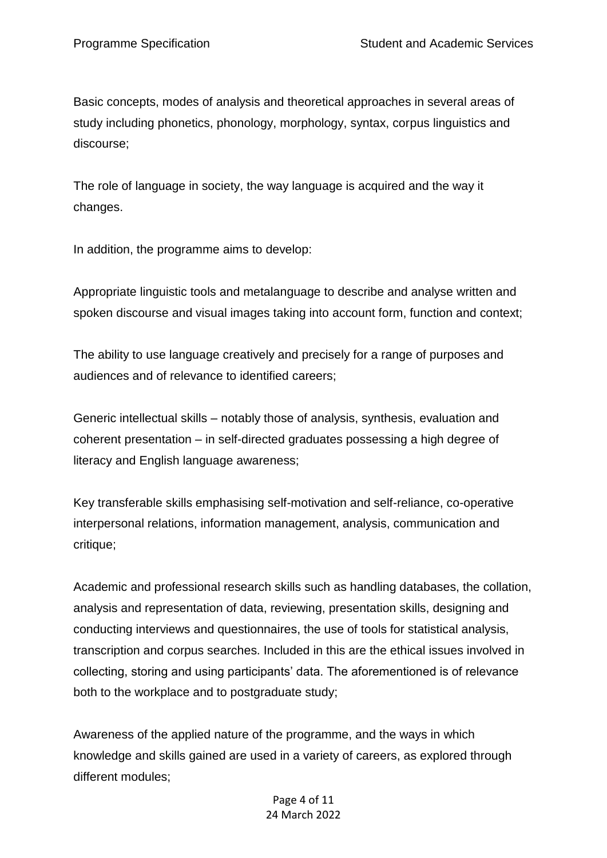Basic concepts, modes of analysis and theoretical approaches in several areas of study including phonetics, phonology, morphology, syntax, corpus linguistics and discourse;

The role of language in society, the way language is acquired and the way it changes.

In addition, the programme aims to develop:

Appropriate linguistic tools and metalanguage to describe and analyse written and spoken discourse and visual images taking into account form, function and context;

The ability to use language creatively and precisely for a range of purposes and audiences and of relevance to identified careers;

Generic intellectual skills – notably those of analysis, synthesis, evaluation and coherent presentation – in self-directed graduates possessing a high degree of literacy and English language awareness;

Key transferable skills emphasising self-motivation and self-reliance, co-operative interpersonal relations, information management, analysis, communication and critique;

Academic and professional research skills such as handling databases, the collation, analysis and representation of data, reviewing, presentation skills, designing and conducting interviews and questionnaires, the use of tools for statistical analysis, transcription and corpus searches. Included in this are the ethical issues involved in collecting, storing and using participants' data. The aforementioned is of relevance both to the workplace and to postgraduate study;

Awareness of the applied nature of the programme, and the ways in which knowledge and skills gained are used in a variety of careers, as explored through different modules;

> Page 4 of 11 24 March 2022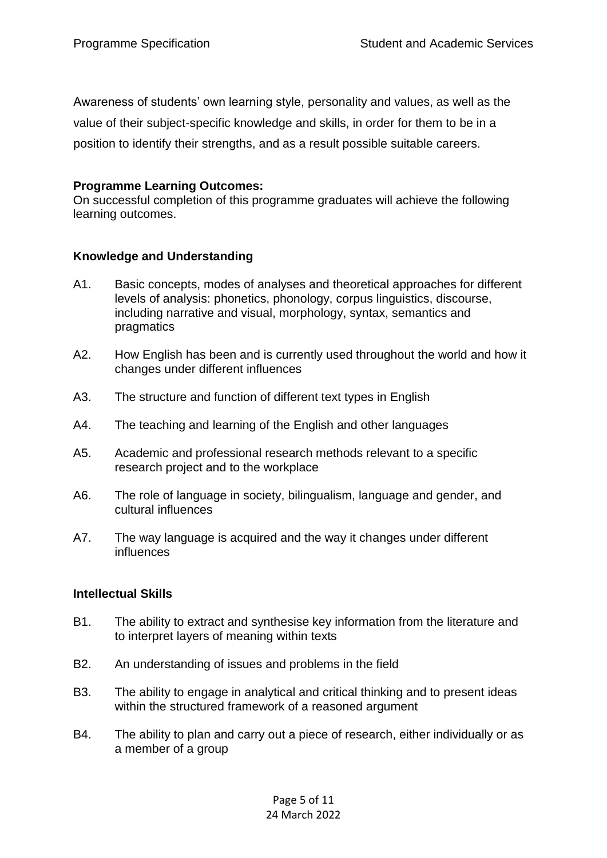Awareness of students' own learning style, personality and values, as well as the value of their subject-specific knowledge and skills, in order for them to be in a position to identify their strengths, and as a result possible suitable careers.

## **Programme Learning Outcomes:**

On successful completion of this programme graduates will achieve the following learning outcomes.

## **Knowledge and Understanding**

- A1. Basic concepts, modes of analyses and theoretical approaches for different levels of analysis: phonetics, phonology, corpus linguistics, discourse, including narrative and visual, morphology, syntax, semantics and pragmatics
- A2. How English has been and is currently used throughout the world and how it changes under different influences
- A3. The structure and function of different text types in English
- A4. The teaching and learning of the English and other languages
- A5. Academic and professional research methods relevant to a specific research project and to the workplace
- A6. The role of language in society, bilingualism, language and gender, and cultural influences
- A7. The way language is acquired and the way it changes under different influences

## **Intellectual Skills**

- B1. The ability to extract and synthesise key information from the literature and to interpret layers of meaning within texts
- B2. An understanding of issues and problems in the field
- B3. The ability to engage in analytical and critical thinking and to present ideas within the structured framework of a reasoned argument
- B4. The ability to plan and carry out a piece of research, either individually or as a member of a group

Page 5 of 11 24 March 2022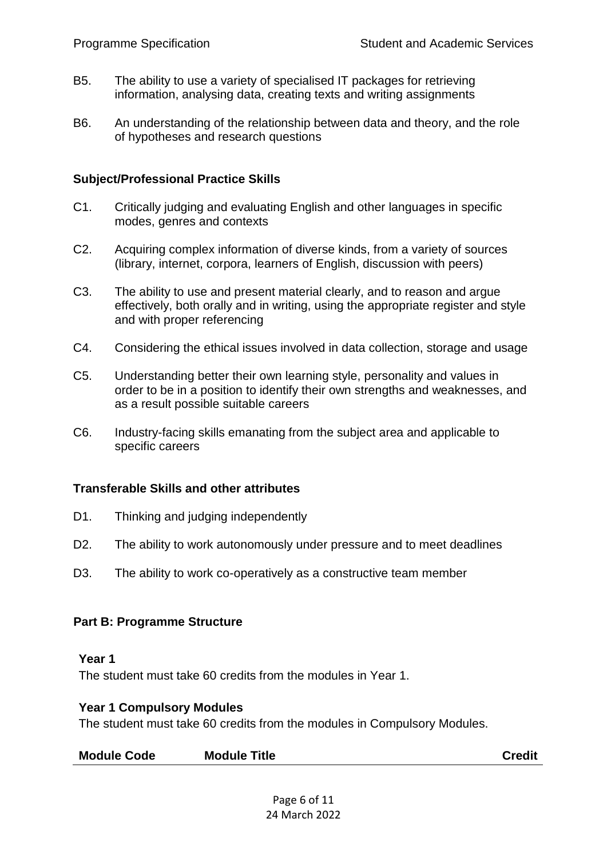- B5. The ability to use a variety of specialised IT packages for retrieving information, analysing data, creating texts and writing assignments
- B6. An understanding of the relationship between data and theory, and the role of hypotheses and research questions

#### **Subject/Professional Practice Skills**

- C1. Critically judging and evaluating English and other languages in specific modes, genres and contexts
- C2. Acquiring complex information of diverse kinds, from a variety of sources (library, internet, corpora, learners of English, discussion with peers)
- C3. The ability to use and present material clearly, and to reason and argue effectively, both orally and in writing, using the appropriate register and style and with proper referencing
- C4. Considering the ethical issues involved in data collection, storage and usage
- C5. Understanding better their own learning style, personality and values in order to be in a position to identify their own strengths and weaknesses, and as a result possible suitable careers
- C6. Industry-facing skills emanating from the subject area and applicable to specific careers

#### **Transferable Skills and other attributes**

- D1. Thinking and judging independently
- D2. The ability to work autonomously under pressure and to meet deadlines
- D3. The ability to work co-operatively as a constructive team member

## <span id="page-5-0"></span>**Part B: Programme Structure**

#### **Year 1**

The student must take 60 credits from the modules in Year 1.

## **Year 1 Compulsory Modules**

The student must take 60 credits from the modules in Compulsory Modules.

Page 6 of 11 24 March 2022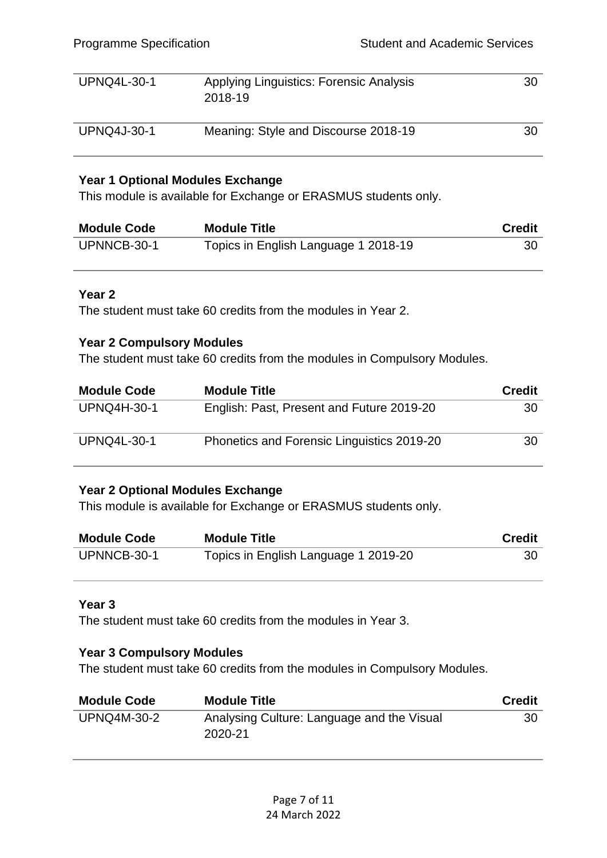| <b>UPNQ4L-30-1</b> | Applying Linguistics: Forensic Analysis<br>2018-19 | 30 |
|--------------------|----------------------------------------------------|----|
| <b>UPNQ4J-30-1</b> | Meaning: Style and Discourse 2018-19               | 30 |

## **Year 1 Optional Modules Exchange**

This module is available for Exchange or ERASMUS students only.

| <b>Module Code</b> | <b>Module Title</b>                  | <b>Credit</b> |
|--------------------|--------------------------------------|---------------|
| UPNNCB-30-1        | Topics in English Language 1 2018-19 | 30            |

## **Year 2**

The student must take 60 credits from the modules in Year 2.

## **Year 2 Compulsory Modules**

The student must take 60 credits from the modules in Compulsory Modules.

| <b>Module Code</b> | <b>Module Title</b>                        | <b>Credit</b> |
|--------------------|--------------------------------------------|---------------|
| <b>UPNQ4H-30-1</b> | English: Past, Present and Future 2019-20  | 30            |
| <b>UPNQ4L-30-1</b> | Phonetics and Forensic Linguistics 2019-20 | 30            |

## **Year 2 Optional Modules Exchange**

This module is available for Exchange or ERASMUS students only.

| <b>Module Code</b> | <b>Module Title</b>                  | <b>Credit</b> |
|--------------------|--------------------------------------|---------------|
| UPNNCB-30-1        | Topics in English Language 1 2019-20 | 30            |

## **Year 3**

The student must take 60 credits from the modules in Year 3.

## **Year 3 Compulsory Modules**

The student must take 60 credits from the modules in Compulsory Modules.

| <b>Module Code</b> | <b>Module Title</b>                                   | <b>Credit</b> |
|--------------------|-------------------------------------------------------|---------------|
| <b>UPNQ4M-30-2</b> | Analysing Culture: Language and the Visual<br>2020-21 | 30            |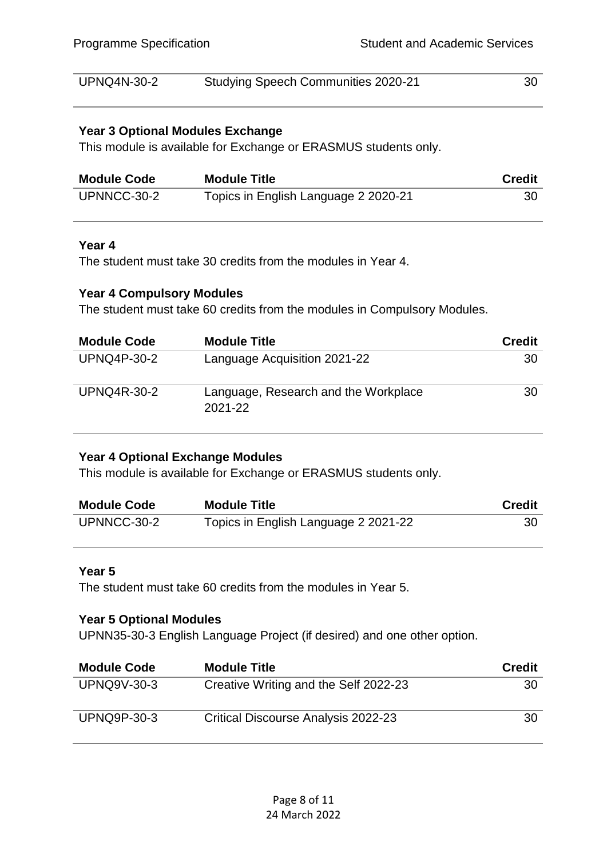| <b>UPNQ4N-30-2</b> | <b>Studying Speech Communities 2020-21</b> | 30 |
|--------------------|--------------------------------------------|----|
|--------------------|--------------------------------------------|----|

#### **Year 3 Optional Modules Exchange**

This module is available for Exchange or ERASMUS students only.

| <b>Module Code</b> | <b>Module Title</b>                  | <b>Credit</b> |
|--------------------|--------------------------------------|---------------|
| UPNNCC-30-2        | Topics in English Language 2 2020-21 | 30            |

#### **Year 4**

The student must take 30 credits from the modules in Year 4.

#### **Year 4 Compulsory Modules**

The student must take 60 credits from the modules in Compulsory Modules.

| <b>Module Code</b> | <b>Module Title</b>                             | <b>Credit</b> |
|--------------------|-------------------------------------------------|---------------|
| <b>UPNQ4P-30-2</b> | Language Acquisition 2021-22                    | 30            |
| <b>UPNQ4R-30-2</b> | Language, Research and the Workplace<br>2021-22 | 30            |

#### **Year 4 Optional Exchange Modules**

This module is available for Exchange or ERASMUS students only.

| <b>Module Code</b> | <b>Module Title</b>                  | <b>Credit</b> |
|--------------------|--------------------------------------|---------------|
| UPNNCC-30-2        | Topics in English Language 2 2021-22 |               |

#### **Year 5**

The student must take 60 credits from the modules in Year 5.

#### **Year 5 Optional Modules**

UPNN35-30-3 English Language Project (if desired) and one other option.

| <b>Module Code</b> | <b>Module Title</b>                        | <b>Credit</b> |
|--------------------|--------------------------------------------|---------------|
| <b>UPNQ9V-30-3</b> | Creative Writing and the Self 2022-23      | 30            |
| <b>UPNQ9P-30-3</b> | <b>Critical Discourse Analysis 2022-23</b> | 30            |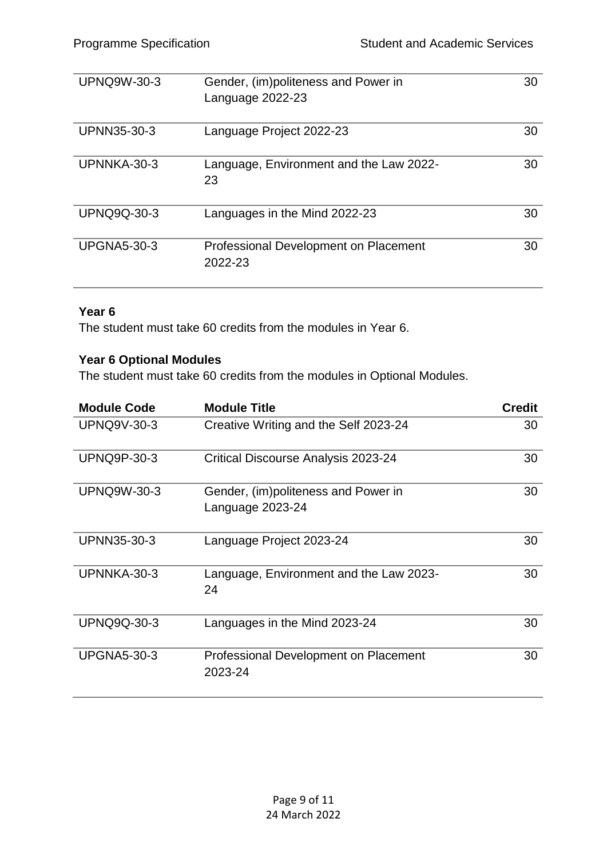| <b>UPNQ9W-30-3</b> | Gender, (im)politeness and Power in<br>Language 2022-23 | 30 |
|--------------------|---------------------------------------------------------|----|
| <b>UPNN35-30-3</b> | Language Project 2022-23                                | 30 |
| UPNNKA-30-3        | Language, Environment and the Law 2022-<br>23           | 30 |
| <b>UPNQ9Q-30-3</b> | Languages in the Mind 2022-23                           | 30 |
| <b>UPGNA5-30-3</b> | Professional Development on Placement<br>2022-23        | 30 |

# **Year 6**

The student must take 60 credits from the modules in Year 6.

## **Year 6 Optional Modules**

The student must take 60 credits from the modules in Optional Modules.

| <b>Module Code</b> | <b>Module Title</b>                                     | <b>Credit</b> |
|--------------------|---------------------------------------------------------|---------------|
| <b>UPNQ9V-30-3</b> | Creative Writing and the Self 2023-24                   | 30            |
| <b>UPNQ9P-30-3</b> | Critical Discourse Analysis 2023-24                     | 30            |
| <b>UPNQ9W-30-3</b> | Gender, (im)politeness and Power in<br>Language 2023-24 | 30            |
| <b>UPNN35-30-3</b> | Language Project 2023-24                                | 30            |
| UPNNKA-30-3        | Language, Environment and the Law 2023-<br>24           | 30            |
| <b>UPNQ9Q-30-3</b> | Languages in the Mind 2023-24                           | 30            |
| <b>UPGNA5-30-3</b> | Professional Development on Placement<br>2023-24        | 30            |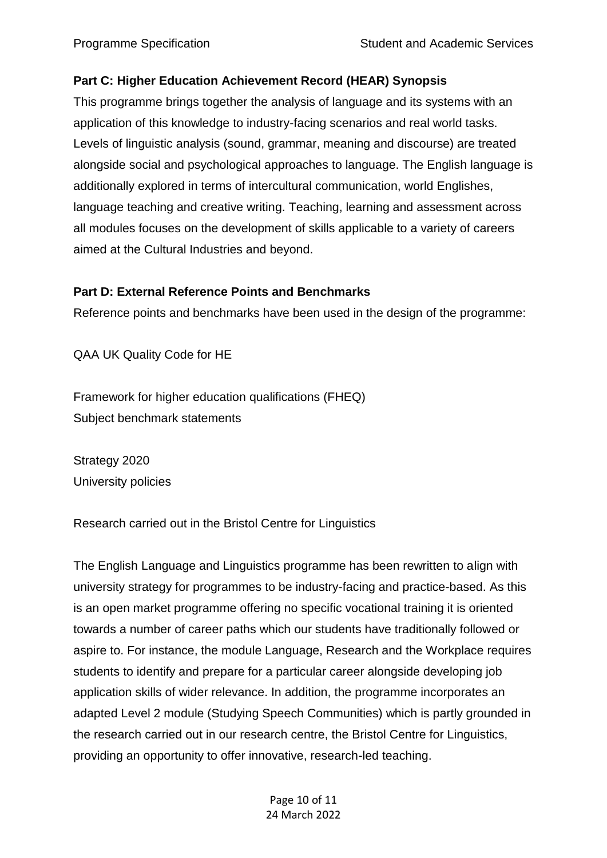# <span id="page-9-0"></span>**Part C: Higher Education Achievement Record (HEAR) Synopsis**

This programme brings together the analysis of language and its systems with an application of this knowledge to industry-facing scenarios and real world tasks. Levels of linguistic analysis (sound, grammar, meaning and discourse) are treated alongside social and psychological approaches to language. The English language is additionally explored in terms of intercultural communication, world Englishes, language teaching and creative writing. Teaching, learning and assessment across all modules focuses on the development of skills applicable to a variety of careers aimed at the Cultural Industries and beyond.

# <span id="page-9-1"></span>**Part D: External Reference Points and Benchmarks**

Reference points and benchmarks have been used in the design of the programme:

QAA UK Quality Code for HE

Framework for higher education qualifications (FHEQ) Subject benchmark statements

Strategy 2020 University policies

Research carried out in the Bristol Centre for Linguistics

The English Language and Linguistics programme has been rewritten to align with university strategy for programmes to be industry-facing and practice-based. As this is an open market programme offering no specific vocational training it is oriented towards a number of career paths which our students have traditionally followed or aspire to. For instance, the module Language, Research and the Workplace requires students to identify and prepare for a particular career alongside developing job application skills of wider relevance. In addition, the programme incorporates an adapted Level 2 module (Studying Speech Communities) which is partly grounded in the research carried out in our research centre, the Bristol Centre for Linguistics, providing an opportunity to offer innovative, research-led teaching.

> Page 10 of 11 24 March 2022